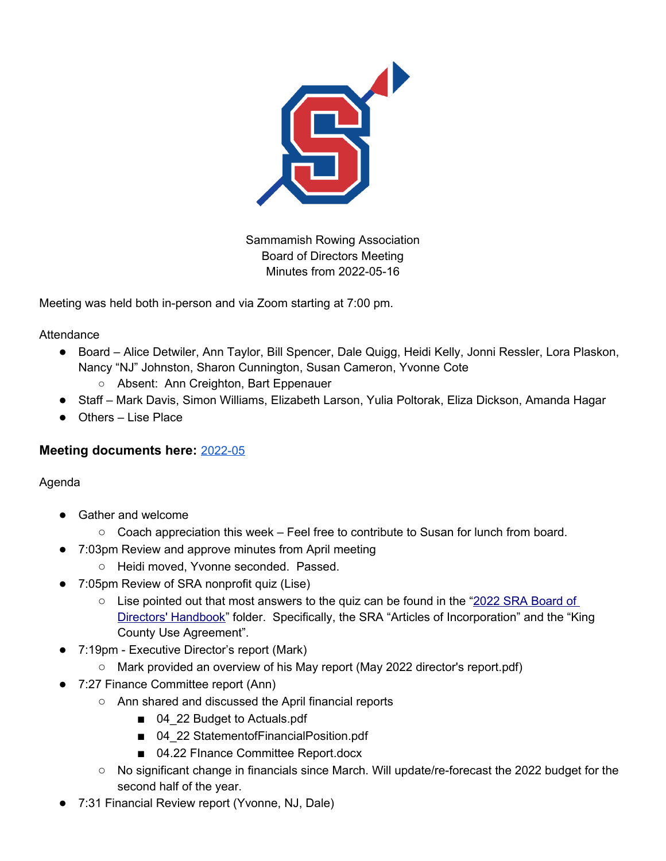

Sammamish Rowing Association Board of Directors Meeting Minutes from 2022-05-16

Meeting was held both in-person and via Zoom starting at 7:00 pm.

**Attendance** 

- Board Alice Detwiler, Ann Taylor, Bill Spencer, Dale Quigg, Heidi Kelly, Jonni Ressler, Lora Plaskon, Nancy "NJ" Johnston, Sharon Cunnington, Susan Cameron, Yvonne Cote
	- Absent: Ann Creighton, Bart Eppenauer
- Staff Mark Davis, Simon Williams, Elizabeth Larson, Yulia Poltorak, Eliza Dickson, Amanda Hagar
- Others Lise Place

## **Meeting documents here:** [2022-05](https://drive.google.com/drive/folders/1xvUpBIczB2IOtcknFcAnhZtRdxa1vW99?usp=sharing)

## Agenda

- Gather and welcome
	- Coach appreciation this week Feel free to contribute to Susan for lunch from board.
- 7:03pm Review and approve minutes from April meeting
	- Heidi moved, Yvonne seconded. Passed.
- 7:05pm Review of SRA nonprofit quiz (Lise)
	- $\circ$  Lise pointed out that most answers to the quiz can be found in the "2022 SRA Board of [Directors' Handbook](https://drive.google.com/drive/folders/1gOAYGQUwA2LM_i3BiazPURCMH3qs_Y9r?usp=sharing)" folder. Specifically, the SRA "Articles of Incorporation" and the "King County Use Agreement".
- 7:19pm Executive Director's report (Mark)
	- Mark provided an overview of his May report (May 2022 director's report.pdf)
- 7:27 Finance Committee report (Ann)
	- Ann shared and discussed the April financial reports
		- 04 22 Budget to Actuals.pdf
		- 04 22 StatementofFinancialPosition.pdf
		- 04.22 FInance Committee Report.docx
	- No significant change in financials since March. Will update/re-forecast the 2022 budget for the second half of the year.
- 7:31 Financial Review report (Yvonne, NJ, Dale)